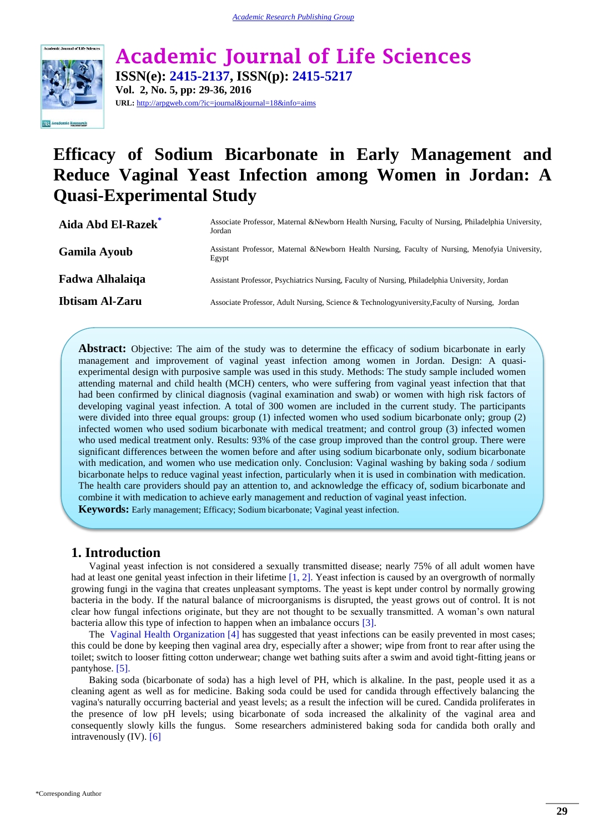

**Academic Journal of Life Sciences ISSN(e): 2415-2137, ISSN(p): 2415-5217 Vol. 2, No. 5, pp: 29-36, 2016 URL:** http://arpgweb.com/?ic=journal&journal=18&info=aims

# **Efficacy of Sodium Bicarbonate in Early Management and Reduce Vaginal Yeast Infection among Women in Jordan: A Quasi-Experimental Study**

| Aida Abd El-Razek*     | Associate Professor, Maternal & Newborn Health Nursing, Faculty of Nursing, Philadelphia University,<br>Jordan |
|------------------------|----------------------------------------------------------------------------------------------------------------|
| <b>Gamila Ayoub</b>    | Assistant Professor, Maternal & Newborn Health Nursing, Faculty of Nursing, Menofyia University,<br>Egypt      |
| Fadwa Alhalaiqa        | Assistant Professor, Psychiatrics Nursing, Faculty of Nursing, Philadelphia University, Jordan                 |
| <b>Ibtisam Al-Zaru</b> | Associate Professor, Adult Nursing, Science & Technologyuniversity, Faculty of Nursing, Jordan                 |

**Abstract:** Objective: The aim of the study was to determine the efficacy of sodium bicarbonate in early management and improvement of vaginal yeast infection among women in Jordan. Design: A quasiexperimental design with purposive sample was used in this study. Methods: The study sample included women attending maternal and child health (MCH) centers, who were suffering from vaginal yeast infection that that had been confirmed by clinical diagnosis (vaginal examination and swab) or women with high risk factors of developing vaginal yeast infection. A total of 300 women are included in the current study. The participants were divided into three equal groups: group (1) infected women who used sodium bicarbonate only; group (2) infected women who used sodium bicarbonate with medical treatment; and control group (3) infected women who used medical treatment only. Results: 93% of the case group improved than the control group. There were significant differences between the women before and after using sodium bicarbonate only, sodium bicarbonate with medication, and women who use medication only. Conclusion: Vaginal washing by baking soda / sodium bicarbonate helps to reduce vaginal yeast infection, particularly when it is used in combination with medication. The health care providers should pay an attention to, and acknowledge the efficacy of, sodium bicarbonate and combine it with medication to achieve early management and reduction of vaginal yeast infection.

**Keywords:** Early management; Efficacy; Sodium bicarbonate; Vaginal yeast infection.

# **1. Introduction**

Vaginal yeast infection is not considered a sexually transmitted disease; nearly 75% of all adult women have had at least one genital yeast infection in their lifetime [\[1,](#page-6-0) [2\]](#page-6-1). Yeast infection is caused by an overgrowth of normally growing fungi in the vagina that creates unpleasant symptoms. The yeast is kept under control by normally growing bacteria in the body. If the natural balance of microorganisms is disrupted, the yeast grows out of control. It is not clear how fungal infections originate, but they are not thought to be sexually transmitted. A woman's own natural bacteria allow this type of infection to happen when an imbalance occurs [\[3\]](#page-6-2).

The [Vaginal Health Organization \[4\]](#page-6-3) has suggested that yeast infections can be easily prevented in most cases; this could be done by keeping then vaginal area dry, especially after a shower; wipe from front to rear after using the toilet; switch to looser fitting cotton underwear; change wet bathing suits after a swim and avoid tight-fitting jeans or pantyhose. [\[5\]](#page-6-4).

<span id="page-0-0"></span>Baking soda (bicarbonate of soda) has a high level of PH, which is alkaline. In the past, people used it as a cleaning agent as well as for medicine. Baking soda could be used for candida through effectively balancing the vagina's naturally occurring bacterial and yeast levels; as a result the infection will be cured. Candida proliferates in the presence of low pH levels; using bicarbonate of soda increased the alkalinity of the vaginal area and consequently slowly kills the fungus. Some researchers administered baking soda for candida both orally and intravenously (IV). [\[6\]](#page-6-5)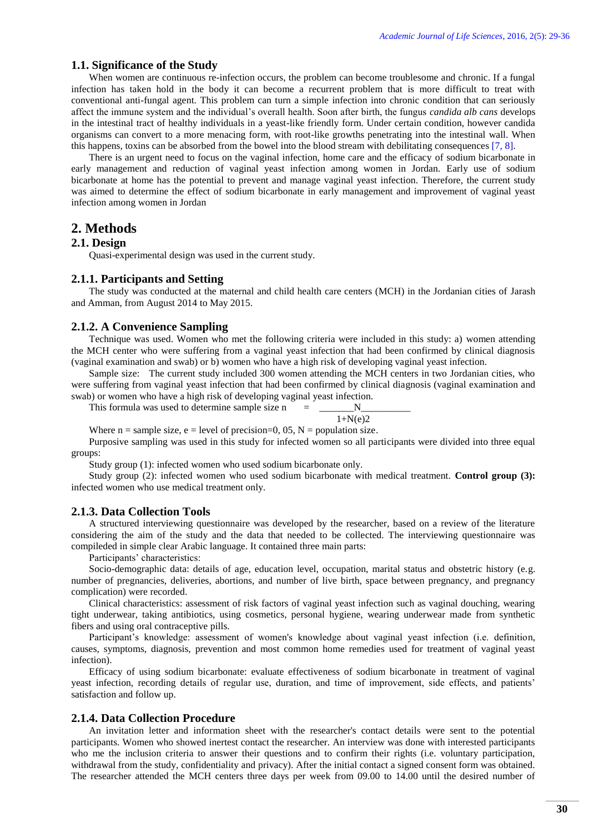## **1.1. Significance of the Study**

When women are continuous re-infection occurs, the problem can become troublesome and chronic. If a fungal infection has taken hold in the body it can become a recurrent problem that is more difficult to treat with conventional anti-fungal agent. This problem can turn a simple infection into chronic condition that can seriously affect the immune system and the individual's overall health. Soon after birth, the fungus *candida alb cans* develops in the intestinal tract of healthy individuals in a yeast-like friendly form. Under certain condition, however candida organisms can convert to a more menacing form, with root-like growths penetrating into the intestinal wall. When this happens, toxins can be absorbed from the bowel into the blood stream with debilitating consequences [\[7,](#page-6-6) [8\]](#page-6-7).

There is an urgent need to focus on the vaginal infection, home care and the efficacy of sodium bicarbonate in early management and reduction of vaginal yeast infection among women in Jordan. Early use of sodium bicarbonate at home has the potential to prevent and manage vaginal yeast infection. Therefore, the current study was aimed to determine the effect of sodium bicarbonate in early management and improvement of vaginal yeast infection among women in Jordan

## **2. Methods**

## **2.1. Design**

Quasi-experimental design was used in the current study.

#### **2.1.1. Participants and Setting**

The study was conducted at the maternal and child health care centers (MCH) in the Jordanian cities of Jarash and Amman, from August 2014 to May 2015.

#### **2.1.2. A Convenience Sampling**

Technique was used. Women who met the following criteria were included in this study: a) women attending the MCH center who were suffering from a vaginal yeast infection that had been confirmed by clinical diagnosis (vaginal examination and swab) or b) women who have a high risk of developing vaginal yeast infection.

Sample size: The current study included 300 women attending the MCH centers in two Jordanian cities, who were suffering from vaginal yeast infection that had been confirmed by clinical diagnosis (vaginal examination and swab) or women who have a high risk of developing vaginal yeast infection.

This formula was used to determine sample size  $n =$ 

$$
\frac{1}{1+N(e)2}
$$

Where 
$$
n =
$$
 sample size,  $e =$  level of precision=0, 05,  $N =$  population size.

Purposive sampling was used in this study for infected women so all participants were divided into three equal groups:

Study group (1): infected women who used sodium bicarbonate only.

Study group (2): infected women who used sodium bicarbonate with medical treatment. **Control group (3):** infected women who use medical treatment only.

#### **2.1.3. Data Collection Tools**

A structured interviewing questionnaire was developed by the researcher, based on a review of the literature considering the aim of the study and the data that needed to be collected. The interviewing questionnaire was compileded in simple clear Arabic language. It contained three main parts:

Participants' characteristics:

Socio-demographic data: details of age, education level, occupation, marital status and obstetric history (e.g. number of pregnancies, deliveries, abortions, and number of live birth, space between pregnancy, and pregnancy complication) were recorded.

Clinical characteristics: assessment of risk factors of vaginal yeast infection such as vaginal douching, wearing tight underwear, taking antibiotics, using cosmetics, personal hygiene, wearing underwear made from synthetic fibers and using oral contraceptive pills.

Participant's knowledge: assessment of women's knowledge about vaginal yeast infection (i.e. definition, causes, symptoms, diagnosis, prevention and most common home remedies used for treatment of vaginal yeast infection).

Efficacy of using sodium bicarbonate: evaluate effectiveness of sodium bicarbonate in treatment of vaginal yeast infection, recording details of regular use, duration, and time of improvement, side effects, and patients' satisfaction and follow up.

## **2.1.4. Data Collection Procedure**

An invitation letter and information sheet with the researcher's contact details were sent to the potential participants. Women who showed inertest contact the researcher. An interview was done with interested participants who me the inclusion criteria to answer their questions and to confirm their rights (i.e. voluntary participation, withdrawal from the study, confidentiality and privacy). After the initial contact a signed consent form was obtained. The researcher attended the MCH centers three days per week from 09.00 to 14.00 until the desired number of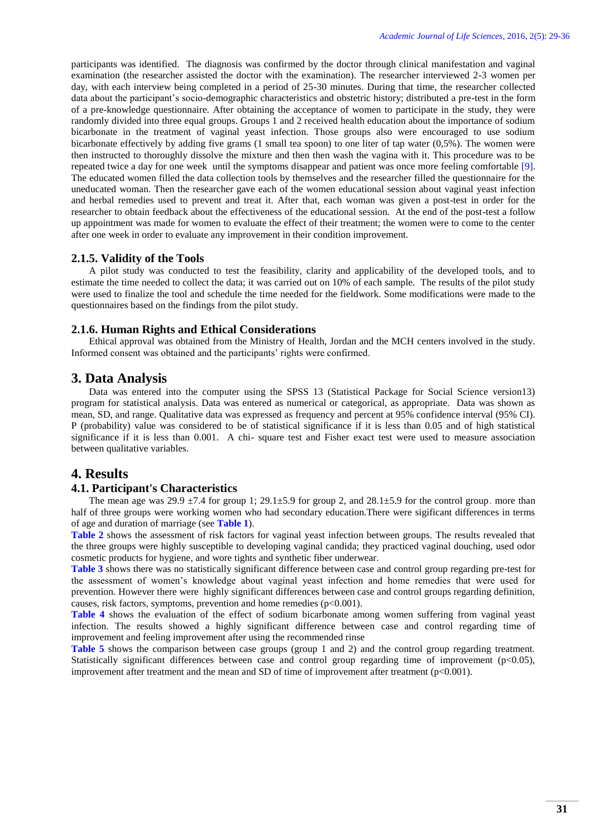participants was identified. The diagnosis was confirmed by the doctor through clinical manifestation and vaginal examination (the researcher assisted the doctor with the examination). The researcher interviewed 2-3 women per day, with each interview being completed in a period of 25-30 minutes. During that time, the researcher collected data about the participant's socio-demographic characteristics and obstetric history; distributed a pre-test in the form of a pre-knowledge questionnaire. After obtaining the acceptance of women to participate in the study, they were randomly divided into three equal groups. Groups 1 and 2 received health education about the importance of sodium bicarbonate in the treatment of vaginal yeast infection. Those groups also were encouraged to use sodium bicarbonate effectively by adding five grams (1 small tea spoon) to one liter of tap water (0,5%). The women were then instructed to thoroughly dissolve the mixture and then then wash the vagina with it. This procedure was to be repeated twice a day for one week until the symptoms disappear and patient was once more feeling comfortable [\[9\]](#page-6-8). The educated women filled the data collection tools by themselves and the researcher filled the questionnaire for the uneducated woman. Then the researcher gave each of the women educational session about vaginal yeast infection and herbal remedies used to prevent and treat it. After that, each woman was given a post-test in order for the researcher to obtain feedback about the effectiveness of the educational session. At the end of the post-test a follow up appointment was made for women to evaluate the effect of their treatment; the women were to come to the center after one week in order to evaluate any improvement in their condition improvement.

#### **2.1.5. Validity of the Tools**

A pilot study was conducted to test the feasibility, clarity and applicability of the developed tools, and to estimate the time needed to collect the data; it was carried out on 10% of each sample. The results of the pilot study were used to finalize the tool and schedule the time needed for the fieldwork. Some modifications were made to the questionnaires based on the findings from the pilot study.

## **2.1.6. Human Rights and Ethical Considerations**

Ethical approval was obtained from the Ministry of Health, Jordan and the MCH centers involved in the study. Informed consent was obtained and the participants' rights were confirmed.

## **3. Data Analysis**

Data was entered into the computer using the SPSS 13 (Statistical Package for Social Science version13) program for statistical analysis. Data was entered as numerical or categorical, as appropriate. Data was shown as mean, SD, and range. Qualitative data was expressed as frequency and percent at 95% confidence interval (95% CI). P (probability) value was considered to be of statistical significance if it is less than 0.05 and of high statistical significance if it is less than 0.001. A chi- square test and Fisher exact test were used to measure association between qualitative variables.

# **4. Results**

#### **4.1. Participant's Characteristics**

The mean age was  $29.9 \pm 7.4$  for group 1; 29.1 $\pm 5.9$  for group 2, and  $28.1 \pm 5.9$  for the control group. more than half of three groups were working women who had secondary education.There were sigificant differences in terms of age and duration of marriage (see **[Table 1](#page-2-0)**).

<span id="page-2-0"></span>**[Table 2](#page-3-0)** shows the assessment of risk factors for vaginal yeast infection between groups. The results revealed that the three groups were highly susceptible to developing vaginal candida; they practiced vaginal douching, used odor cosmetic products for hygiene, and wore tights and synthetic fiber underwear.

**[Table 3](#page-4-0)** shows there was no statistically significant difference between case and control group regarding pre-test for the assessment of women's knowledge about vaginal yeast infection and home remedies that were used for prevention. However there were highly significant differences between case and control groups regarding definition, causes, risk factors, symptoms, prevention and home remedies  $(p<0.001)$ .

**[Table 4](#page-4-1)** shows the evaluation of the effect of sodium bicarbonate among women suffering from vaginal yeast infection. The results showed a highly significant difference between case and control regarding time of improvement and feeling improvement after using the recommended rinse

**[Table 5](#page-5-0)** shows the comparison between case groups (group 1 and 2) and the control group regarding treatment. Statistically significant differences between case and control group regarding time of improvement ( $p<0.05$ ), improvement after treatment and the mean and SD of time of improvement after treatment (p<0.001).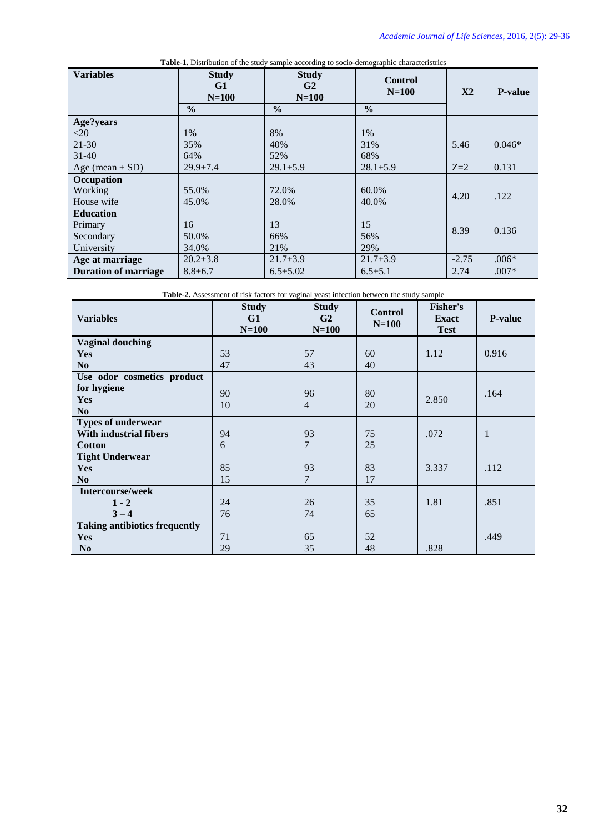| <b>Variables</b>            | <b>Study</b><br>G1<br>$N=100$ | <b>Study</b><br>G <sub>2</sub><br>$N=100$ | <b>Control</b><br>$N=100$ |         | <b>P-value</b> |
|-----------------------------|-------------------------------|-------------------------------------------|---------------------------|---------|----------------|
|                             | $\frac{0}{0}$                 | $\frac{0}{0}$                             | $\frac{0}{0}$             |         |                |
| Age?years                   |                               |                                           |                           |         |                |
| $<$ 20                      | $1\%$                         | 8%                                        | 1%                        |         |                |
| $21 - 30$                   | 35%                           | 40%                                       | 31%                       | 5.46    | $0.046*$       |
| $31 - 40$                   | 64%                           | 52%                                       | 68%                       |         |                |
| Age (mean $\pm$ SD)         | $29.9 \pm 7.4$                | $29.1 \pm 5.9$                            | $28.1 \pm 5.9$            | $Z=2$   | 0.131          |
| Occupation                  |                               |                                           |                           |         |                |
| Working                     | 55.0%                         | 72.0%                                     | 60.0%                     | 4.20    | .122           |
| House wife                  | 45.0%                         | 28.0%                                     | 40.0%                     |         |                |
| <b>Education</b>            |                               |                                           |                           |         |                |
| Primary                     | 16                            | 13                                        | 15                        | 8.39    | 0.136          |
| Secondary                   | 50.0%                         | 66%                                       | 56%                       |         |                |
| University                  | 34.0%                         | 21%                                       | 29%                       |         |                |
| Age at marriage             | $20.2 \pm 3.8$                | $21.7 \pm 3.9$                            | $21.7 \pm 3.9$            | $-2.75$ | $.006*$        |
| <b>Duration of marriage</b> | $8.8 \pm 6.7$                 | $6.5 \pm 5.02$                            | $6.5 \pm 5.1$             | 2.74    | $.007*$        |

**Table-1.** Distribution of the study sample according to socio-demographic characteristrics

**Table-2.** Assessment of risk factors for vaginal yeast infection between the study sample

<span id="page-3-0"></span>

| <b>Variables</b>                     | <b>Study</b><br>G1<br>$N=100$ | <b>Study</b><br>G2<br>$N=100$ | <b>Control</b><br>$N=100$ | <b>Fisher's</b><br><b>Exact</b><br><b>Test</b> | <b>P-value</b> |
|--------------------------------------|-------------------------------|-------------------------------|---------------------------|------------------------------------------------|----------------|
| <b>Vaginal douching</b>              |                               |                               |                           |                                                |                |
| Yes                                  | 53                            | 57                            | 60                        | 1.12                                           | 0.916          |
| N <sub>0</sub>                       | 47                            | 43                            | 40                        |                                                |                |
| Use odor cosmetics product           |                               |                               |                           |                                                |                |
| for hygiene                          | 90                            | 96                            | 80                        |                                                | .164           |
| Yes                                  | 10                            | $\overline{4}$                | 20                        | 2.850                                          |                |
| N <sub>0</sub>                       |                               |                               |                           |                                                |                |
| <b>Types of underwear</b>            |                               |                               |                           |                                                |                |
| <b>With industrial fibers</b>        | 94                            | 93                            | 75                        | .072                                           | 1              |
| <b>Cotton</b>                        | 6                             | $\overline{7}$                | 25                        |                                                |                |
| <b>Tight Underwear</b>               |                               |                               |                           |                                                |                |
| Yes                                  | 85                            | 93                            | 83                        | 3.337                                          | .112           |
| N <sub>0</sub>                       | 15                            | $\overline{7}$                | 17                        |                                                |                |
| <b>Intercourse/week</b>              |                               |                               |                           |                                                |                |
| $1 - 2$                              | 24                            | 26                            | 35                        | 1.81                                           | .851           |
| $3 - 4$                              | 76                            | 74                            | 65                        |                                                |                |
| <b>Taking antibiotics frequently</b> |                               |                               |                           |                                                |                |
| Yes                                  | 71                            | 65                            | 52                        |                                                | .449           |
| N <sub>0</sub>                       | 29                            | 35                            | 48                        | .828                                           |                |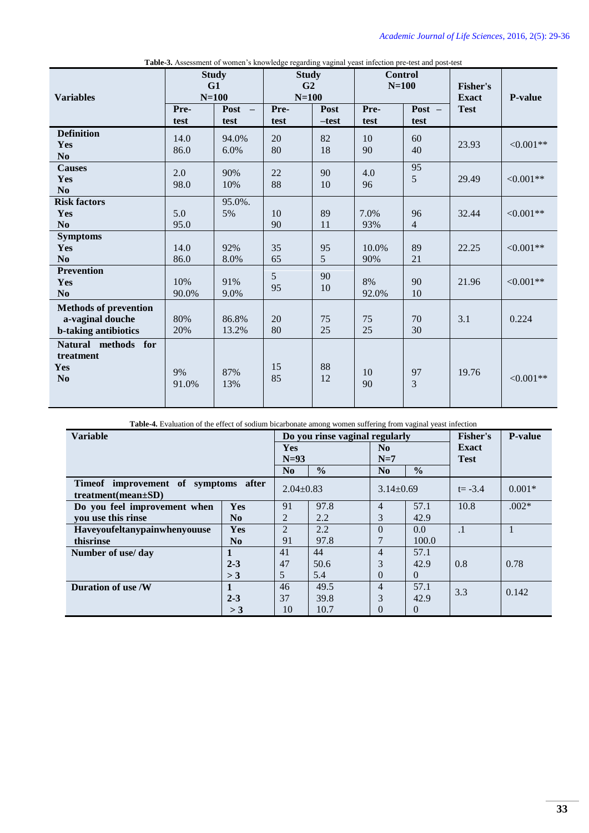<span id="page-4-0"></span>

| <b>Variables</b>                                                                | <b>Study</b><br>G1<br>$N=100$ |                                                 | <b>Study</b><br>G <sub>2</sub><br>$N=100$ |                 | <b>Control</b><br>$N=100$ |                      | <b>Fisher's</b><br><b>Exact</b> | <b>P-value</b> |
|---------------------------------------------------------------------------------|-------------------------------|-------------------------------------------------|-------------------------------------------|-----------------|---------------------------|----------------------|---------------------------------|----------------|
|                                                                                 | Pre-<br>test                  | Post<br>$\hspace{0.1mm}-\hspace{0.1mm}$<br>test | Pre-<br>test                              | Post<br>$-test$ | Pre-<br>test              | Post $-$<br>test     | <b>Test</b>                     |                |
| <b>Definition</b><br>Yes<br>N <sub>o</sub>                                      | 14.0<br>86.0                  | 94.0%<br>6.0%                                   | 20<br>80                                  | 82<br>18        | 10<br>90                  | 60<br>40             | 23.93                           | $<0.001**$     |
| <b>Causes</b><br>Yes<br>N <sub>0</sub>                                          | 2.0<br>98.0                   | 90%<br>10%                                      | 22<br>88                                  | 90<br>10        | 4.0<br>96                 | 95<br>5              | 29.49                           | $< 0.001**$    |
| <b>Risk factors</b><br>Yes<br>N <sub>0</sub>                                    | 5.0<br>95.0                   | 95.0%.<br>5%                                    | 10<br>90                                  | 89<br>11        | 7.0%<br>93%               | 96<br>$\overline{4}$ | 32.44                           | $< 0.001**$    |
| <b>Symptoms</b><br>Yes<br>N <sub>0</sub>                                        | 14.0<br>86.0                  | 92%<br>8.0%                                     | 35<br>65                                  | 95<br>5         | 10.0%<br>90%              | 89<br>21             | 22.25                           | $<0.001**$     |
| <b>Prevention</b><br>Yes<br>$\bf No$                                            | 10%<br>90.0%                  | 91%<br>9.0%                                     | 5<br>95                                   | 90<br>10        | 8%<br>92.0%               | 90<br>10             | 21.96                           | $< 0.001**$    |
| <b>Methods of prevention</b><br>a-vaginal douche<br><b>b-taking antibiotics</b> | 80%<br>20%                    | 86.8%<br>13.2%                                  | 20<br>80                                  | 75<br>25        | 75<br>25                  | 70<br>30             | 3.1                             | 0.224          |
| Natural methods for<br>treatment<br>Yes<br>N <sub>0</sub>                       | 9%<br>91.0%                   | 87%<br>13%                                      | 15<br>85                                  | 88<br>12        | 10<br>90                  | 97<br>3              | 19.76                           | $<0.001**$     |

**Table-3.** Assessment of women's knowledge regarding vaginal yeast infection pre-test and post-test

**Table-4.** Evaluation of the effect of sodium bicarbonate among women suffering from vaginal yeast infection

<span id="page-4-1"></span>

| <b>Variable</b>                                                  |                | Do you rinse vaginal regularly |               |                |               | Fisher's     | <b>P-value</b> |
|------------------------------------------------------------------|----------------|--------------------------------|---------------|----------------|---------------|--------------|----------------|
|                                                                  |                | <b>Yes</b>                     |               | N <sub>0</sub> |               | <b>Exact</b> |                |
|                                                                  |                | $N=93$                         |               | $N=7$          |               | <b>Test</b>  |                |
|                                                                  |                | N <sub>0</sub>                 | $\frac{0}{0}$ | No             | $\frac{0}{0}$ |              |                |
| Timeof improvement of symptoms after<br>$treatment(mean \pm SD)$ |                | $2.04 \pm 0.83$                |               | $3.14 + 0.69$  |               | $t = -3.4$   | $0.001*$       |
| Do you feel improvement when                                     | Yes            | 91                             | 97.8          | 4              | 57.1          | 10.8         | $.002*$        |
| vou use this rinse                                               | N <sub>0</sub> | 2                              | 2.2           | 3              | 42.9          |              |                |
| Haveyoufeltanypainwhenyouuse                                     | Yes            | 2                              | 2.2           | $\theta$       | 0.0           | $\cdot$ 1    | 1              |
| thisrinse                                                        | N <sub>0</sub> | 91                             | 97.8          | 7              | 100.0         |              |                |
| Number of use/ day                                               |                | 41                             | 44            | $\overline{4}$ | 57.1          |              |                |
|                                                                  | $2 - 3$        | 47                             | 50.6          | 3              | 42.9          | 0.8          | 0.78           |
|                                                                  | >3             | 5                              | 5.4           | $\Omega$       | $\Omega$      |              |                |
| Duration of use /W                                               |                | 46                             | 49.5          | 4              | 57.1          | 3.3          |                |
|                                                                  | $2 - 3$        | 37                             | 39.8          | 3              | 42.9          |              | 0.142          |
|                                                                  | $>$ 3          | 10                             | 10.7          | $\Omega$       | $\Omega$      |              |                |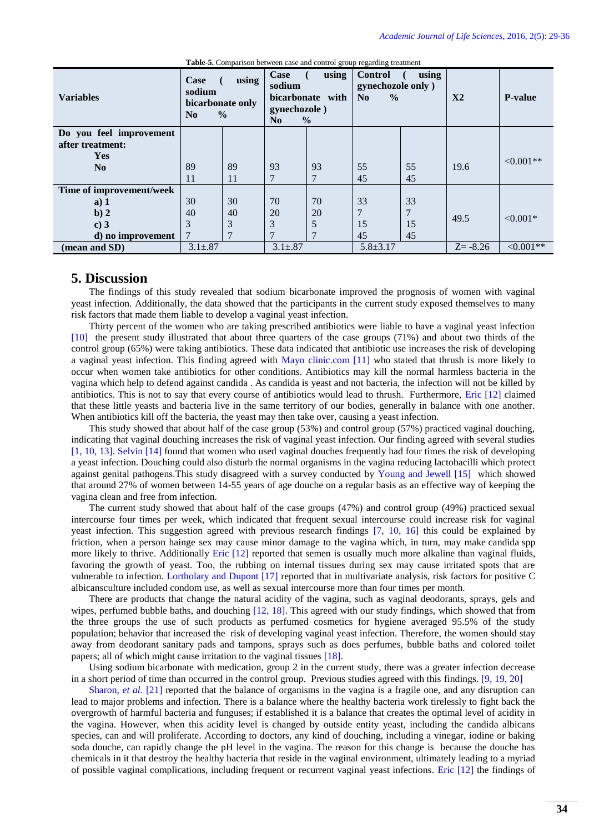<span id="page-5-0"></span>

| <b>Variables</b>         | using<br>Case<br>sodium<br>bicarbonate only<br>$\frac{0}{0}$<br>N <sub>0</sub> |                | using<br>Case<br>sodium<br>bicarbonate with<br>gynechozole)<br>N <sub>0</sub><br>$\%$ |    | using<br><b>Control</b><br>gynechozole only)<br>$\frac{0}{0}$<br>N <sub>0</sub> |                | X <sub>2</sub> | <b>P-value</b> |
|--------------------------|--------------------------------------------------------------------------------|----------------|---------------------------------------------------------------------------------------|----|---------------------------------------------------------------------------------|----------------|----------------|----------------|
| Do you feel improvement  |                                                                                |                |                                                                                       |    |                                                                                 |                |                |                |
| after treatment:         |                                                                                |                |                                                                                       |    |                                                                                 |                |                |                |
| <b>Yes</b>               |                                                                                |                |                                                                                       |    |                                                                                 |                |                | $< 0.001**$    |
| No                       | 89                                                                             | 89             | 93                                                                                    | 93 | 55                                                                              | 55             | 19.6           |                |
|                          | 11                                                                             | 11             |                                                                                       |    | 45                                                                              | 45             |                |                |
| Time of improvement/week |                                                                                |                |                                                                                       |    |                                                                                 |                |                |                |
| a) 1                     | 30                                                                             | 30             | 70                                                                                    | 70 | 33                                                                              | 33             |                |                |
| b)2                      | 40                                                                             | 40             | 20                                                                                    | 20 | 7                                                                               | $\overline{7}$ | 49.5           | $< 0.001*$     |
| $c)$ 3                   | 3                                                                              | 3              | 3                                                                                     | 5  | 15                                                                              | 15             |                |                |
| d) no improvement        | 7                                                                              | $\overline{7}$ | 7                                                                                     | 7  | 45                                                                              | 45             |                |                |
| (mean and SD)            | $3.1 \pm .87$                                                                  |                | $3.1 \pm .87$                                                                         |    | $5.8 \pm 3.17$                                                                  |                | $Z = -8.26$    | $<0.001**$     |

**Table-5.** Comparison between case and control group regarding treatment

# **5. Discussion**

The findings of this study revealed that sodium bicarbonate improved the prognosis of women with vaginal yeast infection. Additionally, the data showed that the participants in the current study exposed themselves to many risk factors that made them liable to develop a vaginal yeast infection.

Thirty percent of the women who are taking prescribed antibiotics were liable to have a vaginal yeast infection [\[10\]](#page-6-9) the present study illustrated that about three quarters of the case groups (71%) and about two thirds of the control group (65%) were taking antibiotics. These data indicated that antibiotic use increases the risk of developing a vaginal yeast infection. This finding agreed with [Mayo clinic.com \[11\]](#page-6-10) who stated that thrush is more likely to occur when women take antibiotics for other conditions. Antibiotics may kill the normal harmless bacteria in the vagina which help to defend against candida . As candida is yeast and not bacteria, the infection will not be killed by antibiotics. This is not to say that every course of antibiotics would lead to thrush. Furthermore, [Eric \[12\]](#page-6-11) claimed that these little yeasts and bacteria live in the same territory of our bodies, generally in balance with one another. When antibiotics kill off the bacteria, the yeast may then take over, causing a yeast infection.

This study showed that about half of the case group (53%) and control group (57%) practiced vaginal douching, indicating that vaginal douching increases the risk of vaginal yeast infection. Our finding agreed with several studies [\[1,](#page-6-0) [10,](#page-6-9) [13\]](#page-6-12). [Selvin \[14\]](#page-6-13) found that women who used vaginal douches frequently had four times the risk of developing a yeast infection. Douching could also disturb the normal organisms in the vagina reducing lactobacilli which protect against genital pathogens.This study disagreed with a survey conducted by [Young and Jewell \[15\]](#page-6-14) which showed that around 27% of women between 14-55 years of age douche on a regular basis as an effective way of keeping the vagina clean and free from infection.

The current study showed that about half of the case groups (47%) and control group (49%) practiced sexual intercourse four times per week, which indicated that frequent sexual intercourse could increase risk for vaginal yeast infection. This suggestion agreed with previous research findings [\[7,](#page-6-6) [10,](#page-6-9) [16\]](#page-6-15) this could be explained by friction, when a person hainge sex may cause minor damage to the vagina which, in turn, may make candida spp more likely to thrive. Additionally [Eric \[12\]](#page-6-11) reported that semen is usually much more alkaline than vaginal fluids, favoring the growth of yeast. Too, the rubbing on internal tissues during sex may cause irritated spots that are vulnerable to infection. [Lortholary and Dupont \[17\]](#page-6-16) reported that in multivariate analysis, risk factors for positive C albicansculture included condom use, as well as sexual intercourse more than four times per month.

There are products that change the natural acidity of the vagina, such as vaginal deodorants, sprays, gels and wipes, perfumed bubble baths, and douching [\[12,](#page-6-11) [18\]](#page-6-17). This agreed with our study findings, which showed that from the three groups the use of such products as perfumed cosmetics for hygiene averaged 95.5% of the study population; behavior that increased the risk of developing vaginal yeast infection. Therefore, the women should stay away from deodorant sanitary pads and tampons, sprays such as does perfumes, bubble baths and colored toilet papers; all of which might cause irritation to the vaginal tissues [\[18\]](#page-6-17).

Using sodium bicarbonate with medication, group 2 in the current study, there was a greater infection decrease in a short period of time than occurred in the control group. Previous studies agreed with this findings. [\[9,](#page-6-8) [19,](#page-7-0) [20\]](#page-7-1)

[Sharon](#page-7-2)*, et al.* [21] reported that the balance of organisms in the vagina is a fragile one, and any disruption can lead to major problems and infection. There is a balance where the healthy bacteria work tirelessly to fight back the overgrowth of harmful bacteria and funguses; if established it is a balance that creates the optimal level of acidity in the vagina. However, when this acidity level is changed by outside entity yeast, including the candida albicans species, can and will proliferate. According to doctors, any kind of douching, including a vinegar, iodine or baking soda douche, can rapidly change the pH level in the vagina. The reason for this change is because the douche has chemicals in it that destroy the healthy bacteria that reside in the vaginal environment, ultimately leading to a myriad of possible vaginal complications, including frequent or recurrent vaginal yeast infections. [Eric \[12\]](#page-6-11) the findings of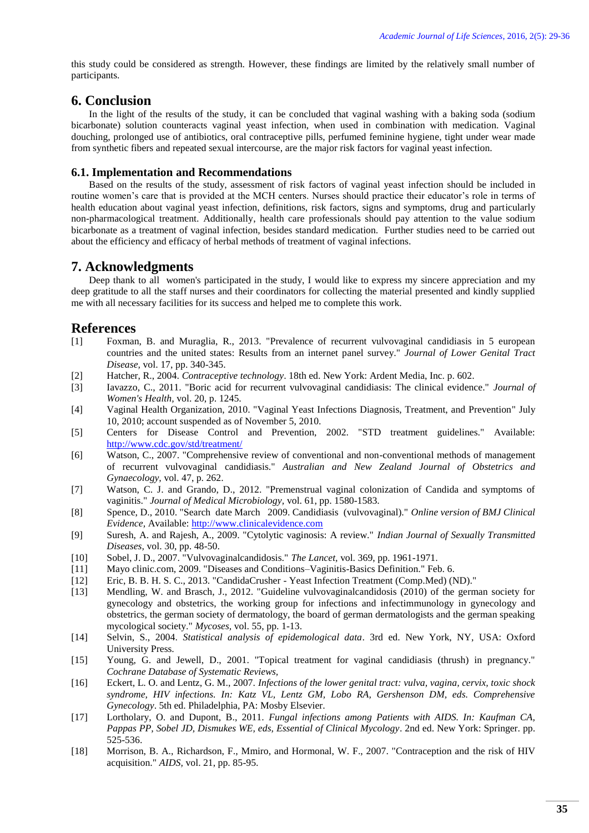this study could be considered as strength. However, these findings are limited by the relatively small number of participants.

# **6. Conclusion**

In the light of the results of the study, it can be concluded that vaginal washing with a baking soda (sodium bicarbonate) solution counteracts vaginal yeast infection, when used in combination with medication. Vaginal douching, prolonged use of antibiotics, oral contraceptive pills, perfumed feminine hygiene, tight under wear made from synthetic fibers and repeated sexual intercourse, are the major risk factors for vaginal yeast infection.

## **6.1. Implementation and Recommendations**

Based on the results of the study, assessment of risk factors of vaginal yeast infection should be included in routine women's care that is provided at the MCH centers. Nurses should practice their educator's role in terms of health education about vaginal yeast infection, definitions, risk factors, signs and symptoms, drug and particularly non-pharmacological treatment. Additionally, health care professionals should pay attention to the value sodium bicarbonate as a treatment of vaginal infection, besides standard medication. Further studies need to be carried out about the efficiency and efficacy of herbal methods of treatment of vaginal infections.

# **7. Acknowledgments**

Deep thank to all women's participated in the study, I would like to express my sincere appreciation and my deep gratitude to all the staff nurses and their coordinators for collecting the material presented and kindly supplied me with all necessary facilities for its success and helped me to complete this work.

# **References**

- <span id="page-6-0"></span>[1] Foxman, B. and Muraglia, R., 2013. "Prevalence of recurrent vulvovaginal candidiasis in 5 european countries and the united states: Results from an internet panel survey." *Journal of Lower Genital Tract Disease,* vol. 17, pp. 340-345.
- <span id="page-6-1"></span>[2] Hatcher, R., 2004. *Contraceptive technology*. 18th ed. New York: Ardent Media, Inc. p. 602.
- <span id="page-6-2"></span>[3] Iavazzo, C., 2011. "Boric acid for recurrent vulvovaginal candidiasis: The clinical evidence." *Journal of Women's Health,* vol. 20, p. 1245.
- <span id="page-6-3"></span>[4] Vaginal Health Organization, 2010. "Vaginal Yeast Infections Diagnosis, Treatment, and Prevention" July 10, 2010; account suspended as of November 5, 2010.
- <span id="page-6-4"></span>[5] Centers for Disease Control and Prevention, 2002. "STD treatment guidelines." Available: <http://www.cdc.gov/std/treatment/>
- <span id="page-6-5"></span>[6] Watson, C., 2007. "Comprehensive review of conventional and non-conventional methods of management of recurrent vulvovaginal candidiasis." *Australian and New Zealand Journal of Obstetrics and Gynaecology,* vol. 47, p. 262.
- <span id="page-6-6"></span>[7] Watson, C. J. and Grando, D., 2012. "Premenstrual vaginal colonization of Candida and symptoms of vaginitis." *Journal of Medical Microbiology,* vol. 61, pp. 1580-1583.
- <span id="page-6-7"></span>[8] Spence, D., 2010. "Search date March 2009. Candidiasis (vulvovaginal)." *Online version of BMJ Clinical Evidence,* Available: [http://www.clinicalevidence.com](http://www.clinicalevidence.com/)
- <span id="page-6-8"></span>[9] Suresh, A. and Rajesh, A., 2009. "Cytolytic vaginosis: A review." *Indian Journal of Sexually Transmitted Diseases,* vol. 30, pp. 48-50.
- <span id="page-6-9"></span>[10] Sobel, J. D., 2007. "Vulvovaginalcandidosis." *The Lancet,* vol. 369, pp. 1961-1971.
- <span id="page-6-10"></span>[11] Mayo clinic.com, 2009. "Diseases and Conditions–Vaginitis-Basics Definition." Feb. 6.
- <span id="page-6-11"></span>[12] Eric, B. B. H. S. C., 2013. "CandidaCrusher - Yeast Infection Treatment (Comp.Med) (ND)."
- <span id="page-6-12"></span>[13] Mendling, W. and Brasch, J., 2012. "Guideline vulvovaginalcandidosis (2010) of the german society for gynecology and obstetrics, the working group for infections and infectimmunology in gynecology and obstetrics, the german society of dermatology, the board of german dermatologists and the german speaking mycological society." *Mycoses,* vol. 55, pp. 1-13.
- <span id="page-6-13"></span>[14] Selvin, S., 2004. *Statistical analysis of epidemological data*. 3rd ed. New York, NY, USA: Oxford University Press.
- <span id="page-6-14"></span>[15] Young, G. and Jewell, D., 2001. "Topical treatment for vaginal candidiasis (thrush) in pregnancy." *Cochrane Database of Systematic Reviews,*
- <span id="page-6-15"></span>[16] Eckert, L. O. and Lentz, G. M., 2007. *Infections of the lower genital tract: vulva, vagina, cervix, toxic shock syndrome, HIV infections. In: Katz VL, Lentz GM, Lobo RA, Gershenson DM, eds. Comprehensive Gynecology*. 5th ed. Philadelphia, PA: Mosby Elsevier.
- <span id="page-6-16"></span>[17] Lortholary, O. and Dupont, B., 2011. *Fungal infections among Patients with AIDS. In: Kaufman CA, Pappas PP, Sobel JD, Dismukes WE, eds, Essential of Clinical Mycology*. 2nd ed. New York: Springer. pp. 525-536.
- <span id="page-6-17"></span>[18] Morrison, B. A., Richardson, F., Mmiro, and Hormonal, W. F., 2007. "Contraception and the risk of HIV acquisition." *AIDS,* vol. 21, pp. 85-95.